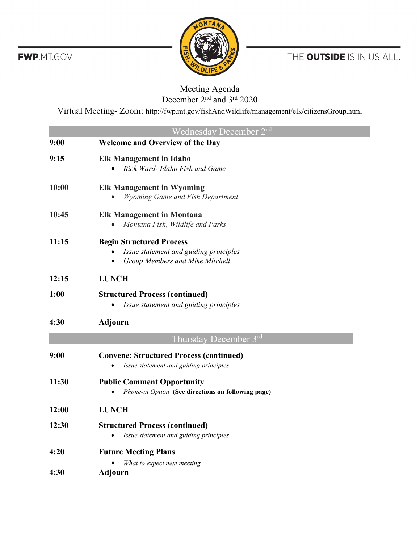

THE OUTSIDE IS IN US ALL.

## Meeting Agenda December 2<sup>nd</sup> and 3<sup>rd</sup> 2020

Virtual Meeting- Zoom: http://fwp.mt.gov/fishAndWildlife/management/elk/citizensGroup.html

|       | Wednesday December 2 <sup>nd</sup>                                                                           |
|-------|--------------------------------------------------------------------------------------------------------------|
| 9:00  | <b>Welcome and Overview of the Day</b>                                                                       |
| 9:15  | <b>Elk Management in Idaho</b><br>Rick Ward- Idaho Fish and Game                                             |
| 10:00 | <b>Elk Management in Wyoming</b><br><b>Wyoming Game and Fish Department</b>                                  |
| 10:45 | <b>Elk Management in Montana</b><br>Montana Fish, Wildlife and Parks                                         |
| 11:15 | <b>Begin Structured Process</b><br>Issue statement and guiding principles<br>Group Members and Mike Mitchell |
| 12:15 | <b>LUNCH</b>                                                                                                 |
| 1:00  | <b>Structured Process (continued)</b><br>Issue statement and guiding principles                              |
| 4:30  | <b>Adjourn</b>                                                                                               |
|       | Thursday December 3rd                                                                                        |
| 9:00  | <b>Convene: Structured Process (continued)</b><br>Issue statement and guiding principles<br>$\bullet$        |
| 11:30 | <b>Public Comment Opportunity</b><br>Phone-in Option (See directions on following page)                      |
| 12:00 | <b>LUNCH</b>                                                                                                 |
| 12:30 | <b>Structured Process (continued)</b><br>Issue statement and guiding principles                              |
| 4:20  | <b>Future Meeting Plans</b><br>What to expect next meeting                                                   |
| 4:30  | <b>Adjourn</b>                                                                                               |